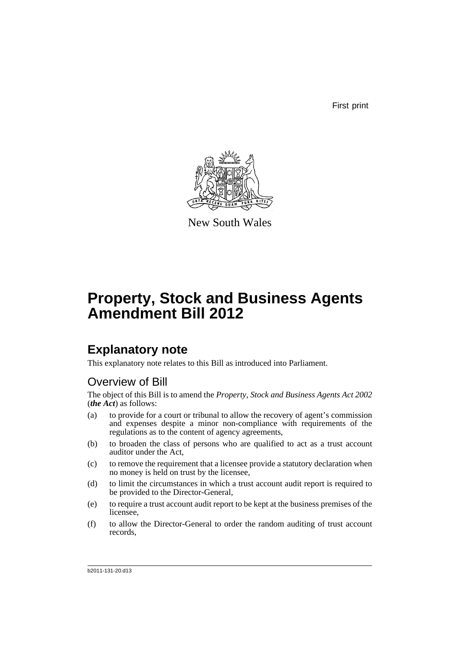First print



New South Wales

# **Property, Stock and Business Agents Amendment Bill 2012**

# **Explanatory note**

This explanatory note relates to this Bill as introduced into Parliament.

# Overview of Bill

The object of this Bill is to amend the *Property, Stock and Business Agents Act 2002* (*the Act*) as follows:

- (a) to provide for a court or tribunal to allow the recovery of agent's commission and expenses despite a minor non-compliance with requirements of the regulations as to the content of agency agreements,
- (b) to broaden the class of persons who are qualified to act as a trust account auditor under the Act,
- (c) to remove the requirement that a licensee provide a statutory declaration when no money is held on trust by the licensee,
- (d) to limit the circumstances in which a trust account audit report is required to be provided to the Director-General,
- (e) to require a trust account audit report to be kept at the business premises of the licensee,
- (f) to allow the Director-General to order the random auditing of trust account records,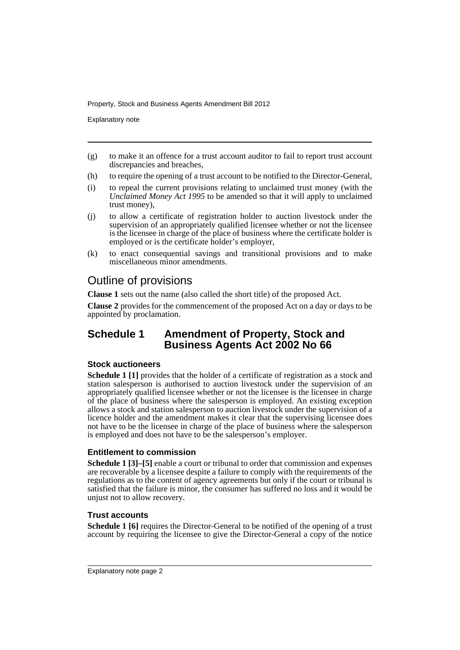Explanatory note

- (g) to make it an offence for a trust account auditor to fail to report trust account discrepancies and breaches,
- (h) to require the opening of a trust account to be notified to the Director-General,
- (i) to repeal the current provisions relating to unclaimed trust money (with the *Unclaimed Money Act 1995* to be amended so that it will apply to unclaimed trust money),
- (j) to allow a certificate of registration holder to auction livestock under the supervision of an appropriately qualified licensee whether or not the licensee is the licensee in charge of the place of business where the certificate holder is employed or is the certificate holder's employer,
- (k) to enact consequential savings and transitional provisions and to make miscellaneous minor amendments.

# Outline of provisions

**Clause 1** sets out the name (also called the short title) of the proposed Act.

**Clause 2** provides for the commencement of the proposed Act on a day or days to be appointed by proclamation.

## **Schedule 1 Amendment of Property, Stock and Business Agents Act 2002 No 66**

## **Stock auctioneers**

**Schedule 1 [1]** provides that the holder of a certificate of registration as a stock and station salesperson is authorised to auction livestock under the supervision of an appropriately qualified licensee whether or not the licensee is the licensee in charge of the place of business where the salesperson is employed. An existing exception allows a stock and station salesperson to auction livestock under the supervision of a licence holder and the amendment makes it clear that the supervising licensee does not have to be the licensee in charge of the place of business where the salesperson is employed and does not have to be the salesperson's employer.

## **Entitlement to commission**

**Schedule 1 [3]–[5]** enable a court or tribunal to order that commission and expenses are recoverable by a licensee despite a failure to comply with the requirements of the regulations as to the content of agency agreements but only if the court or tribunal is satisfied that the failure is minor, the consumer has suffered no loss and it would be unjust not to allow recovery.

## **Trust accounts**

**Schedule 1 [6]** requires the Director-General to be notified of the opening of a trust account by requiring the licensee to give the Director-General a copy of the notice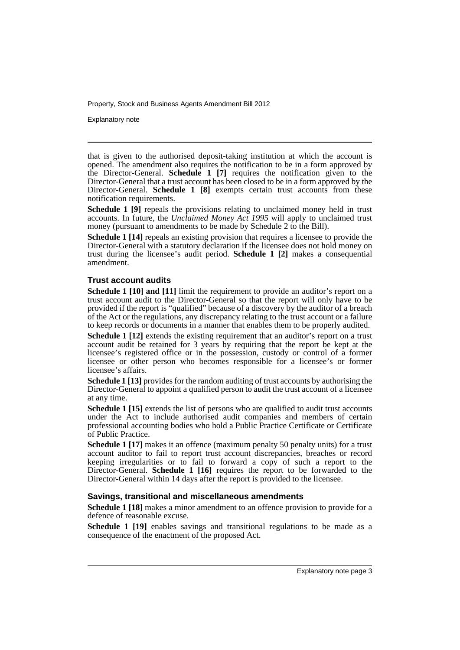Explanatory note

that is given to the authorised deposit-taking institution at which the account is opened. The amendment also requires the notification to be in a form approved by the Director-General. **Schedule 1 [7]** requires the notification given to the Director-General that a trust account has been closed to be in a form approved by the Director-General. **Schedule 1 [8]** exempts certain trust accounts from these notification requirements.

**Schedule 1 [9]** repeals the provisions relating to unclaimed money held in trust accounts. In future, the *Unclaimed Money Act 1995* will apply to unclaimed trust money (pursuant to amendments to be made by Schedule 2 to the Bill).

**Schedule 1 [14]** repeals an existing provision that requires a licensee to provide the Director-General with a statutory declaration if the licensee does not hold money on trust during the licensee's audit period. **Schedule 1 [2]** makes a consequential amendment.

### **Trust account audits**

**Schedule 1 [10] and [11]** limit the requirement to provide an auditor's report on a trust account audit to the Director-General so that the report will only have to be provided if the report is "qualified" because of a discovery by the auditor of a breach of the Act or the regulations, any discrepancy relating to the trust account or a failure to keep records or documents in a manner that enables them to be properly audited.

**Schedule 1 [12]** extends the existing requirement that an auditor's report on a trust account audit be retained for 3 years by requiring that the report be kept at the licensee's registered office or in the possession, custody or control of a former licensee or other person who becomes responsible for a licensee's or former licensee's affairs.

**Schedule 1 [13]** provides for the random auditing of trust accounts by authorising the Director-General to appoint a qualified person to audit the trust account of a licensee at any time.

**Schedule 1 [15]** extends the list of persons who are qualified to audit trust accounts under the Act to include authorised audit companies and members of certain professional accounting bodies who hold a Public Practice Certificate or Certificate of Public Practice.

**Schedule 1 [17]** makes it an offence (maximum penalty 50 penalty units) for a trust account auditor to fail to report trust account discrepancies, breaches or record keeping irregularities or to fail to forward a copy of such a report to the Director-General. **Schedule 1 [16]** requires the report to be forwarded to the Director-General within 14 days after the report is provided to the licensee.

#### **Savings, transitional and miscellaneous amendments**

**Schedule 1 [18]** makes a minor amendment to an offence provision to provide for a defence of reasonable excuse.

**Schedule 1 [19]** enables savings and transitional regulations to be made as a consequence of the enactment of the proposed Act.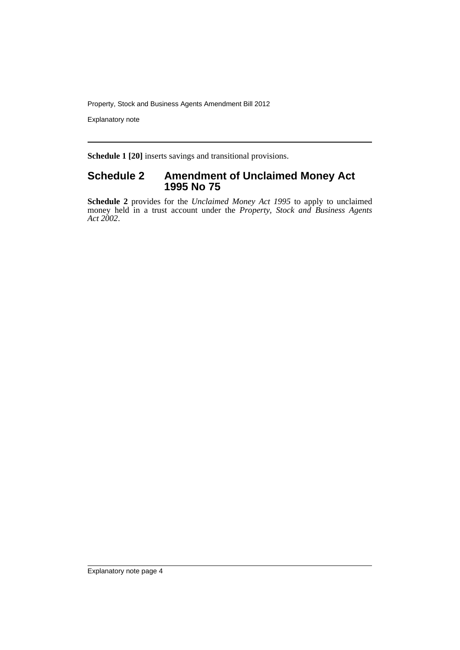Explanatory note

**Schedule 1 [20]** inserts savings and transitional provisions.

## **Schedule 2 Amendment of Unclaimed Money Act 1995 No 75**

**Schedule 2** provides for the *Unclaimed Money Act 1995* to apply to unclaimed money held in a trust account under the *Property, Stock and Business Agents Act 2002*.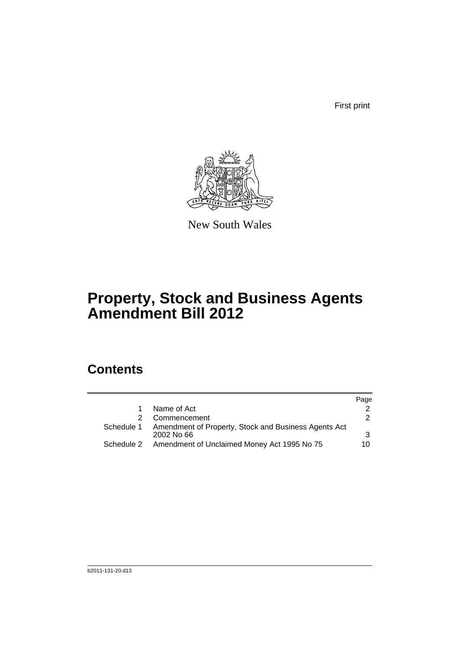First print



New South Wales

# **Property, Stock and Business Agents Amendment Bill 2012**

# **Contents**

|            |                                                                      | Page |
|------------|----------------------------------------------------------------------|------|
|            | Name of Act                                                          |      |
|            | Commencement                                                         | 2    |
| Schedule 1 | Amendment of Property, Stock and Business Agents Act<br>$2002$ No 66 | 3    |
| Schedule 2 | Amendment of Unclaimed Money Act 1995 No 75                          | 10   |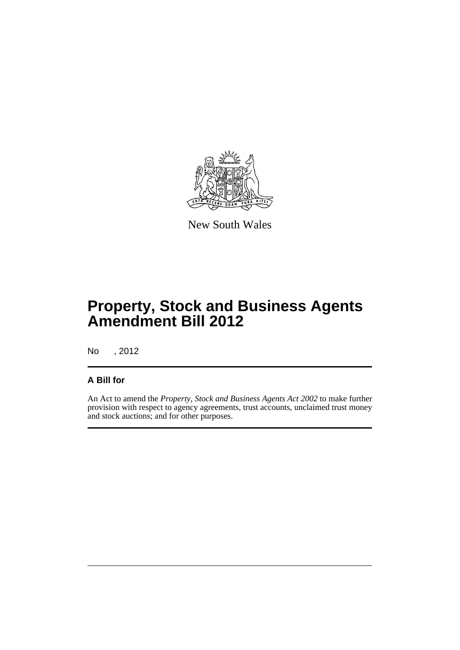

New South Wales

# **Property, Stock and Business Agents Amendment Bill 2012**

No , 2012

## **A Bill for**

An Act to amend the *Property, Stock and Business Agents Act 2002* to make further provision with respect to agency agreements, trust accounts, unclaimed trust money and stock auctions; and for other purposes.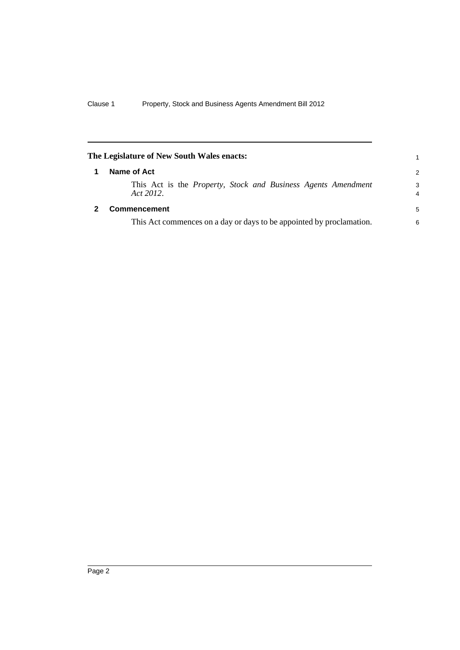<span id="page-7-1"></span><span id="page-7-0"></span>

| The Legislature of New South Wales enacts: |                                                                                           |               |
|--------------------------------------------|-------------------------------------------------------------------------------------------|---------------|
|                                            | Name of Act                                                                               | $\mathcal{P}$ |
|                                            | This Act is the <i>Property</i> , <i>Stock and Business Agents Amendment</i><br>Act 2012. | 3<br>4        |
|                                            | <b>Commencement</b>                                                                       | 5             |
|                                            | This Act commences on a day or days to be appointed by proclamation.                      | 6             |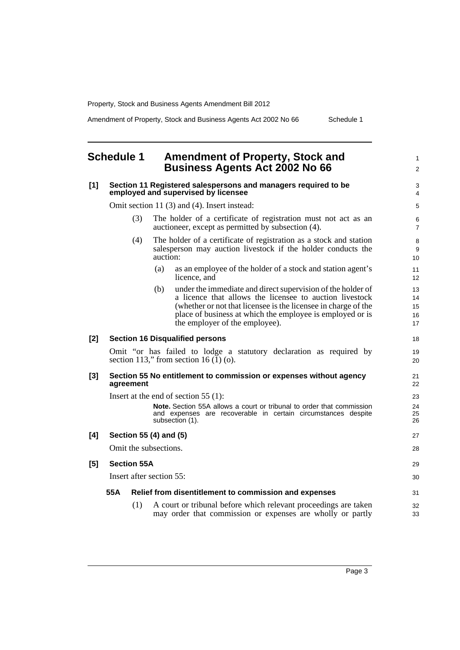Amendment of Property, Stock and Business Agents Act 2002 No 66 Schedule 1

1  $\mathfrak{p}$ 

18 19 20

## <span id="page-8-0"></span>**Schedule 1 Amendment of Property, Stock and Business Agents Act 2002 No 66**

#### **[1] Section 11 Registered salespersons and managers required to be employed and supervised by licensee**

Omit section 11 (3) and (4). Insert instead:

- (3) The holder of a certificate of registration must not act as an auctioneer, except as permitted by subsection (4).
- (4) The holder of a certificate of registration as a stock and station salesperson may auction livestock if the holder conducts the auction:
	- (a) as an employee of the holder of a stock and station agent's licence, and
	- (b) under the immediate and direct supervision of the holder of a licence that allows the licensee to auction livestock (whether or not that licensee is the licensee in charge of the place of business at which the employee is employed or is the employer of the employee).

### **[2] Section 16 Disqualified persons**

Omit "or has failed to lodge a statutory declaration as required by section 113," from section 16 $(1)$  (o).

#### **[3] Section 55 No entitlement to commission or expenses without agency agreement**

Insert at the end of section 55 (1):

**Note.** Section 55A allows a court or tribunal to order that commission and expenses are recoverable in certain circumstances despite subsection (1).

### **[4] Section 55 (4) and (5)**

Omit the subsections.

#### **[5] Section 55A**

Insert after section 55:

#### **55A Relief from disentitlement to commission and expenses**

(1) A court or tribunal before which relevant proceedings are taken may order that commission or expenses are wholly or partly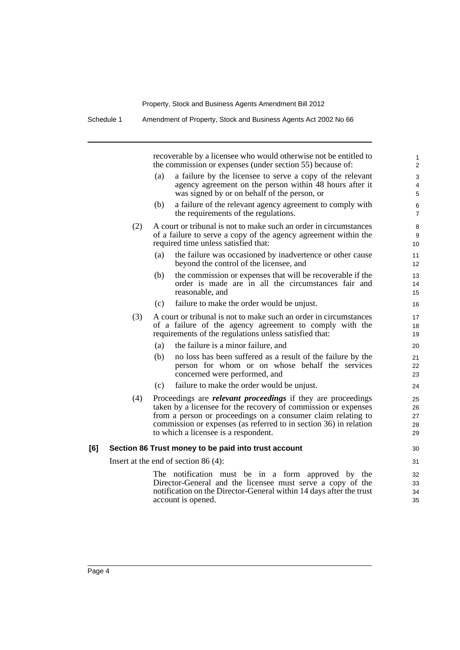Schedule 1 Amendment of Property, Stock and Business Agents Act 2002 No 66

recoverable by a licensee who would otherwise not be entitled to the commission or expenses (under section 55) because of: (a) a failure by the licensee to serve a copy of the relevant agency agreement on the person within 48 hours after it was signed by or on behalf of the person, or (b) a failure of the relevant agency agreement to comply with the requirements of the regulations. (2) A court or tribunal is not to make such an order in circumstances of a failure to serve a copy of the agency agreement within the required time unless satisfied that: (a) the failure was occasioned by inadvertence or other cause beyond the control of the licensee, and (b) the commission or expenses that will be recoverable if the order is made are in all the circumstances fair and reasonable, and (c) failure to make the order would be unjust. (3) A court or tribunal is not to make such an order in circumstances of a failure of the agency agreement to comply with the requirements of the regulations unless satisfied that: (a) the failure is a minor failure, and (b) no loss has been suffered as a result of the failure by the person for whom or on whose behalf the services concerned were performed, and (c) failure to make the order would be unjust. (4) Proceedings are *relevant proceedings* if they are proceedings taken by a licensee for the recovery of commission or expenses from a person or proceedings on a consumer claim relating to commission or expenses (as referred to in section 36) in relation to which a licensee is a respondent. **[6] Section 86 Trust money to be paid into trust account** Insert at the end of section 86 (4): The notification must be in a form approved by the Director-General and the licensee must serve a copy of the notification on the Director-General within 14 days after the trust account is opened. 1 2  $\overline{a}$ 4 5 6 7 8 9  $1<sub>0</sub>$ 11 12 13 14 15 16 17 18 19  $20$ 21 22 23 24 25 26 27 28 29  $30$ 31 32 33 34 35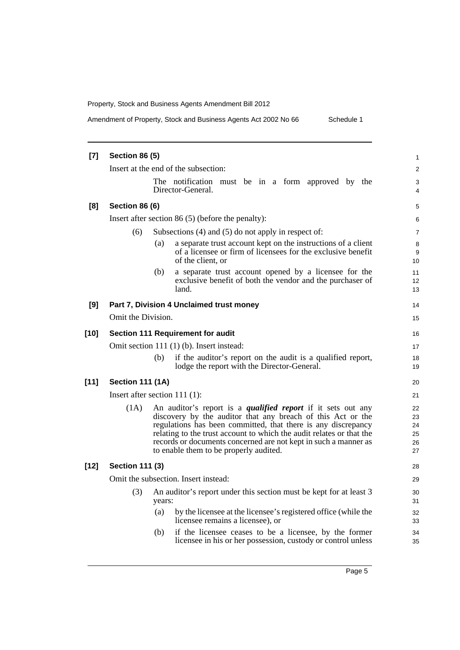Amendment of Property, Stock and Business Agents Act 2002 No 66 Schedule 1

| $[7]$  | <b>Section 86 (5)</b>                               |                                                                                                                                                                                                                                                                                                                                                                                          |  |  |  |
|--------|-----------------------------------------------------|------------------------------------------------------------------------------------------------------------------------------------------------------------------------------------------------------------------------------------------------------------------------------------------------------------------------------------------------------------------------------------------|--|--|--|
|        | Insert at the end of the subsection:                |                                                                                                                                                                                                                                                                                                                                                                                          |  |  |  |
|        |                                                     | The notification must be in a form approved by the<br>Director-General.                                                                                                                                                                                                                                                                                                                  |  |  |  |
| [8]    | <b>Section 86 (6)</b>                               |                                                                                                                                                                                                                                                                                                                                                                                          |  |  |  |
|        | Insert after section 86 $(5)$ (before the penalty): |                                                                                                                                                                                                                                                                                                                                                                                          |  |  |  |
|        | (6)                                                 | Subsections $(4)$ and $(5)$ do not apply in respect of:                                                                                                                                                                                                                                                                                                                                  |  |  |  |
|        |                                                     | a separate trust account kept on the instructions of a client<br>(a)<br>of a licensee or firm of licensees for the exclusive benefit<br>of the client, or                                                                                                                                                                                                                                |  |  |  |
|        |                                                     | a separate trust account opened by a licensee for the<br>(b)<br>exclusive benefit of both the vendor and the purchaser of<br>land.                                                                                                                                                                                                                                                       |  |  |  |
| [9]    |                                                     | Part 7, Division 4 Unclaimed trust money                                                                                                                                                                                                                                                                                                                                                 |  |  |  |
|        | Omit the Division.                                  |                                                                                                                                                                                                                                                                                                                                                                                          |  |  |  |
| $[10]$ | Section 111 Requirement for audit                   |                                                                                                                                                                                                                                                                                                                                                                                          |  |  |  |
|        |                                                     | Omit section 111 (1) (b). Insert instead:                                                                                                                                                                                                                                                                                                                                                |  |  |  |
|        |                                                     | if the auditor's report on the audit is a qualified report,<br>(b)<br>lodge the report with the Director-General.                                                                                                                                                                                                                                                                        |  |  |  |
| $[11]$ | <b>Section 111 (1A)</b>                             |                                                                                                                                                                                                                                                                                                                                                                                          |  |  |  |
|        |                                                     | Insert after section $111(1)$ :                                                                                                                                                                                                                                                                                                                                                          |  |  |  |
|        | (1A)                                                | An auditor's report is a <i>qualified report</i> if it sets out any<br>discovery by the auditor that any breach of this Act or the<br>regulations has been committed, that there is any discrepancy<br>relating to the trust account to which the audit relates or that the<br>records or documents concerned are not kept in such a manner as<br>to enable them to be properly audited. |  |  |  |
| $[12]$ | <b>Section 111 (3)</b>                              |                                                                                                                                                                                                                                                                                                                                                                                          |  |  |  |
|        | Omit the subsection. Insert instead:                |                                                                                                                                                                                                                                                                                                                                                                                          |  |  |  |
|        | (3)                                                 | An auditor's report under this section must be kept for at least 3<br>years:                                                                                                                                                                                                                                                                                                             |  |  |  |
|        |                                                     | (a)<br>by the licensee at the licensee's registered office (while the<br>licensee remains a licensee), or                                                                                                                                                                                                                                                                                |  |  |  |
|        |                                                     | (b)<br>if the licensee ceases to be a licensee, by the former<br>licensee in his or her possession, custody or control unless                                                                                                                                                                                                                                                            |  |  |  |
|        |                                                     |                                                                                                                                                                                                                                                                                                                                                                                          |  |  |  |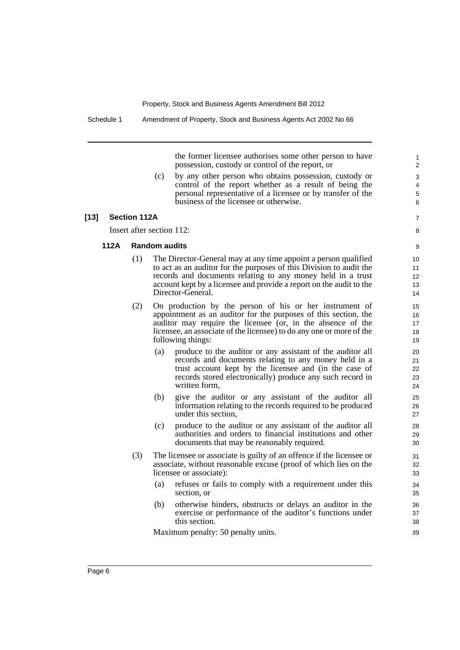the former licensee authorises some other person to have possession, custody or control of the report, or

(c) by any other person who obtains possession, custody or control of the report whether as a result of being the personal representative of a licensee or by transfer of the business of the licensee or otherwise.

#### **[13] Section 112A**

Insert after section 112:

#### **112A Random audits**

- (1) The Director-General may at any time appoint a person qualified to act as an auditor for the purposes of this Division to audit the records and documents relating to any money held in a trust account kept by a licensee and provide a report on the audit to the Director-General.
- (2) On production by the person of his or her instrument of appointment as an auditor for the purposes of this section, the auditor may require the licensee (or, in the absence of the licensee, an associate of the licensee) to do any one or more of the following things:
	- (a) produce to the auditor or any assistant of the auditor all records and documents relating to any money held in a trust account kept by the licensee and (in the case of records stored electronically) produce any such record in written form,
	- (b) give the auditor or any assistant of the auditor all information relating to the records required to be produced under this section,
	- (c) produce to the auditor or any assistant of the auditor all authorities and orders to financial institutions and other documents that may be reasonably required.
- (3) The licensee or associate is guilty of an offence if the licensee or associate, without reasonable excuse (proof of which lies on the licensee or associate):
	- (a) refuses or fails to comply with a requirement under this section, or
	- (b) otherwise hinders, obstructs or delays an auditor in the exercise or performance of the auditor's functions under this section.

Maximum penalty: 50 penalty units.

8 9

7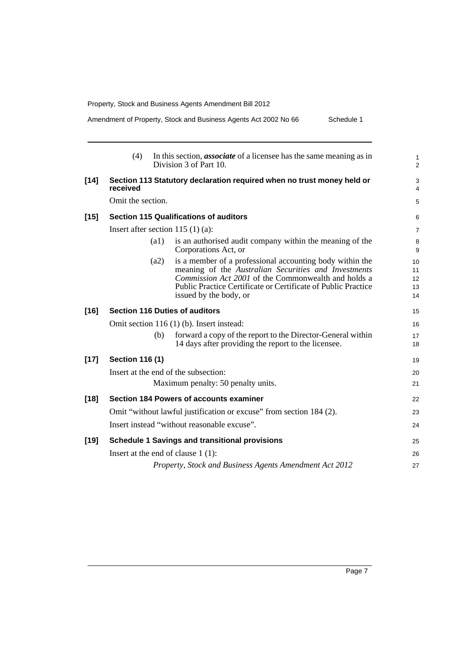Amendment of Property, Stock and Business Agents Act 2002 No 66 Schedule 1

|        | (4)                    |                    | In this section, <i>associate</i> of a licensee has the same meaning as in<br>Division 3 of Part 10.                                                                                                                                                               |
|--------|------------------------|--------------------|--------------------------------------------------------------------------------------------------------------------------------------------------------------------------------------------------------------------------------------------------------------------|
| $[14]$ | received               |                    | Section 113 Statutory declaration required when no trust money held or                                                                                                                                                                                             |
|        | Omit the section.      |                    |                                                                                                                                                                                                                                                                    |
| $[15]$ |                        |                    | <b>Section 115 Qualifications of auditors</b>                                                                                                                                                                                                                      |
|        |                        |                    | Insert after section 115 $(1)$ (a):                                                                                                                                                                                                                                |
|        |                        | $\left( a1\right)$ | is an authorised audit company within the meaning of the<br>Corporations Act, or                                                                                                                                                                                   |
|        |                        | (a2)               | is a member of a professional accounting body within the<br>meaning of the Australian Securities and Investments<br>Commission Act 2001 of the Commonwealth and holds a<br>Public Practice Certificate or Certificate of Public Practice<br>issued by the body, or |
| $[16]$ |                        |                    | <b>Section 116 Duties of auditors</b>                                                                                                                                                                                                                              |
|        |                        |                    | Omit section 116 (1) (b). Insert instead:                                                                                                                                                                                                                          |
|        |                        | (b)                | forward a copy of the report to the Director-General within<br>14 days after providing the report to the licensee.                                                                                                                                                 |
| $[17]$ | <b>Section 116 (1)</b> |                    |                                                                                                                                                                                                                                                                    |
|        |                        |                    | Insert at the end of the subsection:                                                                                                                                                                                                                               |
|        |                        |                    | Maximum penalty: 50 penalty units.                                                                                                                                                                                                                                 |
| $[18]$ |                        |                    | Section 184 Powers of accounts examiner                                                                                                                                                                                                                            |
|        |                        |                    | Omit "without lawful justification or excuse" from section 184 (2).                                                                                                                                                                                                |
|        |                        |                    | Insert instead "without reasonable excuse".                                                                                                                                                                                                                        |
| $[19]$ |                        |                    | <b>Schedule 1 Savings and transitional provisions</b>                                                                                                                                                                                                              |
|        |                        |                    | Insert at the end of clause $1(1)$ :                                                                                                                                                                                                                               |
|        |                        |                    | Property, Stock and Business Agents Amendment Act 2012                                                                                                                                                                                                             |
|        |                        |                    |                                                                                                                                                                                                                                                                    |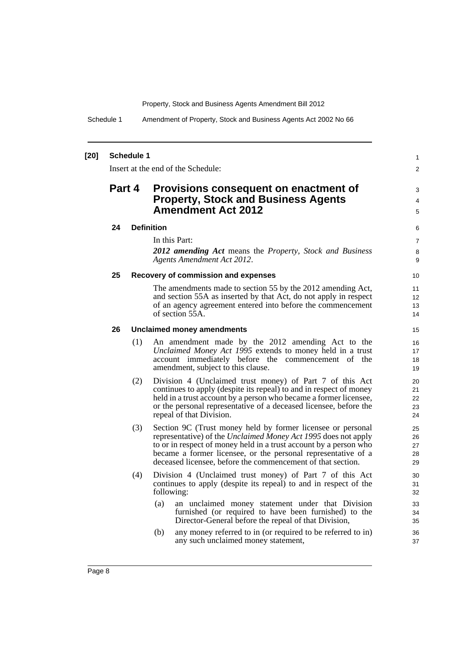Schedule 1 Amendment of Property, Stock and Business Agents Act 2002 No 66

#### **[20] Schedule 1**

Insert at the end of the Schedule:

## **Part 4 Provisions consequent on enactment of Property, Stock and Business Agents Amendment Act 2012**

#### **24 Definition**

In this Part:

*2012 amending Act* means the *Property, Stock and Business Agents Amendment Act 2012*.

1  $\overline{2}$ 

3 4 5

#### **25 Recovery of commission and expenses**

The amendments made to section 55 by the 2012 amending Act, and section 55A as inserted by that Act, do not apply in respect of an agency agreement entered into before the commencement of section 55A.

#### **26 Unclaimed money amendments**

- (1) An amendment made by the 2012 amending Act to the *Unclaimed Money Act 1995* extends to money held in a trust account immediately before the commencement of the amendment, subject to this clause.
- (2) Division 4 (Unclaimed trust money) of Part 7 of this Act continues to apply (despite its repeal) to and in respect of money held in a trust account by a person who became a former licensee, or the personal representative of a deceased licensee, before the repeal of that Division.
- (3) Section 9C (Trust money held by former licensee or personal representative) of the *Unclaimed Money Act 1995* does not apply to or in respect of money held in a trust account by a person who became a former licensee, or the personal representative of a deceased licensee, before the commencement of that section.
- (4) Division 4 (Unclaimed trust money) of Part 7 of this Act continues to apply (despite its repeal) to and in respect of the following:
	- (a) an unclaimed money statement under that Division furnished (or required to have been furnished) to the Director-General before the repeal of that Division,
	- (b) any money referred to in (or required to be referred to in) any such unclaimed money statement,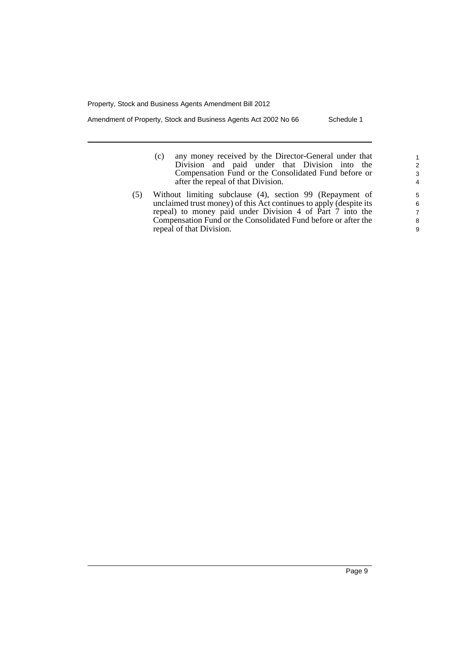Amendment of Property, Stock and Business Agents Act 2002 No 66 Schedule 1

- (c) any money received by the Director-General under that Division and paid under that Division into the Compensation Fund or the Consolidated Fund before or after the repeal of that Division.
- (5) Without limiting subclause (4), section 99 (Repayment of unclaimed trust money) of this Act continues to apply (despite its repeal) to money paid under Division 4 of Part 7 into the Compensation Fund or the Consolidated Fund before or after the repeal of that Division.

9

1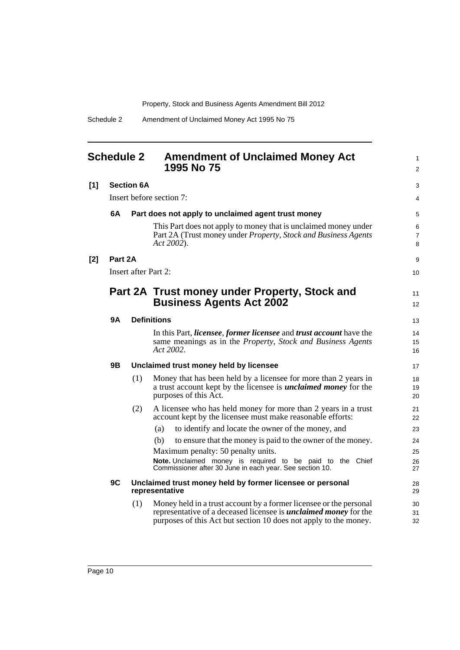<span id="page-15-0"></span>

| <b>Schedule 2</b> |                                                                                   |                          | <b>Amendment of Unclaimed Money Act</b><br>1995 No 75                                                                                                                                                             | 1<br>$\overline{2}$      |  |
|-------------------|-----------------------------------------------------------------------------------|--------------------------|-------------------------------------------------------------------------------------------------------------------------------------------------------------------------------------------------------------------|--------------------------|--|
| [1]               |                                                                                   | <b>Section 6A</b>        |                                                                                                                                                                                                                   |                          |  |
|                   |                                                                                   | Insert before section 7: |                                                                                                                                                                                                                   |                          |  |
|                   | 6A                                                                                |                          | Part does not apply to unclaimed agent trust money                                                                                                                                                                | 5                        |  |
|                   |                                                                                   |                          | This Part does not apply to money that is unclaimed money under<br>Part 2A (Trust money under Property, Stock and Business Agents<br>Act 2002).                                                                   | 6<br>$\overline{7}$<br>8 |  |
| $[2]$             | Part 2A                                                                           |                          |                                                                                                                                                                                                                   |                          |  |
|                   |                                                                                   |                          | <b>Insert after Part 2:</b>                                                                                                                                                                                       | 10                       |  |
|                   |                                                                                   |                          | Part 2A Trust money under Property, Stock and<br><b>Business Agents Act 2002</b>                                                                                                                                  | 11<br>12                 |  |
|                   | 9Α                                                                                |                          | <b>Definitions</b>                                                                                                                                                                                                | 13                       |  |
|                   |                                                                                   |                          | In this Part, <i>licensee</i> , <i>former licensee</i> and <i>trust account</i> have the<br>same meanings as in the Property, Stock and Business Agents<br>Act 2002.                                              | 14<br>15<br>16           |  |
|                   | 9Β                                                                                |                          | Unclaimed trust money held by licensee                                                                                                                                                                            | 17                       |  |
|                   |                                                                                   | (1)                      | Money that has been held by a licensee for more than 2 years in<br>a trust account kept by the licensee is <i>unclaimed money</i> for the<br>purposes of this Act.                                                | 18<br>19<br>20           |  |
|                   |                                                                                   | (2)                      | A licensee who has held money for more than 2 years in a trust<br>account kept by the licensee must make reasonable efforts:                                                                                      | 21<br>22                 |  |
|                   |                                                                                   |                          | to identify and locate the owner of the money, and<br>(a)                                                                                                                                                         | 23                       |  |
|                   |                                                                                   |                          | to ensure that the money is paid to the owner of the money.<br>(b)                                                                                                                                                | 24                       |  |
|                   |                                                                                   |                          | Maximum penalty: 50 penalty units.<br>Note. Unclaimed money is required to be paid to the Chief<br>Commissioner after 30 June in each year. See section 10.                                                       | 25<br>26<br>27           |  |
|                   | 9C<br>Unclaimed trust money held by former licensee or personal<br>representative |                          |                                                                                                                                                                                                                   |                          |  |
|                   |                                                                                   | (1)                      | Money held in a trust account by a former licensee or the personal<br>representative of a deceased licensee is <i>unclaimed money</i> for the<br>purposes of this Act but section 10 does not apply to the money. | 30<br>31<br>32           |  |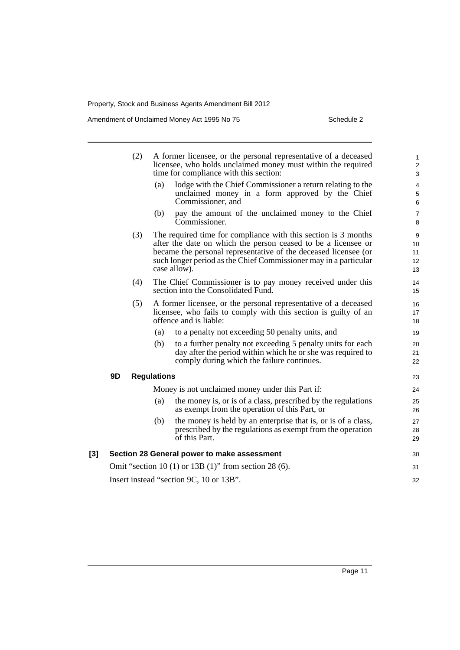Amendment of Unclaimed Money Act 1995 No 75 Schedule 2

|     |                                                       | (2)                                     |                    | A former licensee, or the personal representative of a deceased<br>licensee, who holds unclaimed money must within the required<br>time for compliance with this section:                                                                                                              | $\mathbf{1}$<br>$\overline{2}$<br>3 |
|-----|-------------------------------------------------------|-----------------------------------------|--------------------|----------------------------------------------------------------------------------------------------------------------------------------------------------------------------------------------------------------------------------------------------------------------------------------|-------------------------------------|
|     |                                                       |                                         | (a)                | lodge with the Chief Commissioner a return relating to the<br>unclaimed money in a form approved by the Chief<br>Commissioner, and                                                                                                                                                     | 4<br>5<br>6                         |
|     |                                                       |                                         | (b)                | pay the amount of the unclaimed money to the Chief<br>Commissioner.                                                                                                                                                                                                                    | $\overline{7}$<br>8                 |
|     |                                                       | (3)                                     |                    | The required time for compliance with this section is 3 months<br>after the date on which the person ceased to be a licensee or<br>became the personal representative of the deceased licensee (or<br>such longer period as the Chief Commissioner may in a particular<br>case allow). | 9<br>10<br>11<br>12<br>13           |
|     |                                                       | (4)                                     |                    | The Chief Commissioner is to pay money received under this<br>section into the Consolidated Fund.                                                                                                                                                                                      | 14<br>15                            |
|     |                                                       | (5)                                     |                    | A former licensee, or the personal representative of a deceased<br>licensee, who fails to comply with this section is guilty of an<br>offence and is liable:                                                                                                                           | 16<br>17<br>18                      |
|     |                                                       |                                         | (a)                | to a penalty not exceeding 50 penalty units, and                                                                                                                                                                                                                                       | 19                                  |
|     |                                                       |                                         | (b)                | to a further penalty not exceeding 5 penalty units for each<br>day after the period within which he or she was required to<br>comply during which the failure continues.                                                                                                               | 20<br>21<br>22                      |
|     | 9D                                                    |                                         | <b>Regulations</b> |                                                                                                                                                                                                                                                                                        | 23                                  |
|     |                                                       |                                         |                    | Money is not unclaimed money under this Part if:                                                                                                                                                                                                                                       |                                     |
|     |                                                       |                                         | (a)                | the money is, or is of a class, prescribed by the regulations<br>as exempt from the operation of this Part, or                                                                                                                                                                         | 25<br>26                            |
|     |                                                       |                                         | (b)                | the money is held by an enterprise that is, or is of a class,<br>prescribed by the regulations as exempt from the operation<br>of this Part.                                                                                                                                           | 27<br>28<br>29                      |
| [3] | Section 28 General power to make assessment           |                                         |                    |                                                                                                                                                                                                                                                                                        | 30                                  |
|     | Omit "section 10 (1) or 13B (1)" from section 28 (6). |                                         |                    |                                                                                                                                                                                                                                                                                        | 31                                  |
|     |                                                       | Insert instead "section 9C, 10 or 13B". |                    |                                                                                                                                                                                                                                                                                        |                                     |